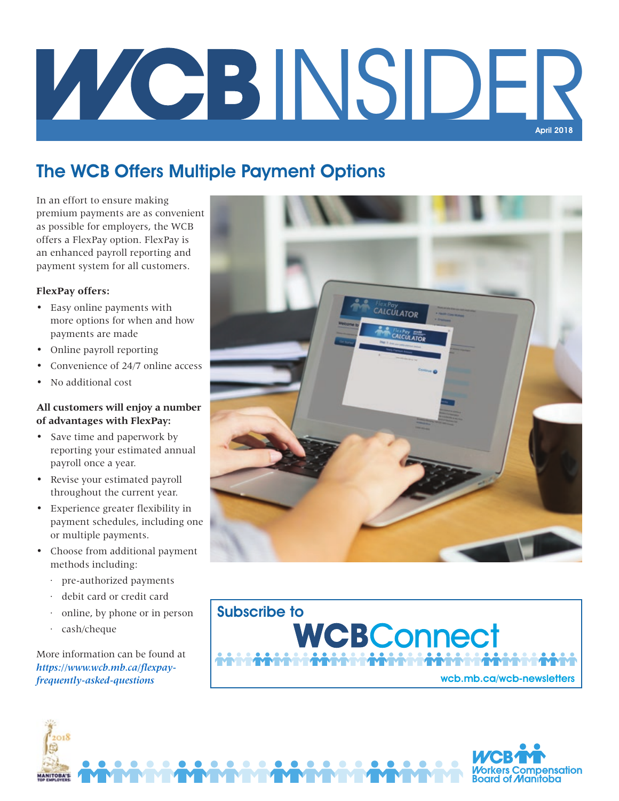# INSIDER April 2018

## The WCB Offers Multiple Payment Options

In an effort to ensure making premium payments are as convenient as possible for employers, the WCB offers a FlexPay option. FlexPay is an enhanced payroll reporting and payment system for all customers.

## **FlexPay offers:**

- Easy online payments with more options for when and how payments are made
- Online payroll reporting
- Convenience of 24/7 online access
- No additional cost

## **All customers will enjoy a number of advantages with FlexPay:**

- Save time and paperwork by reporting your estimated annual payroll once a year.
- Revise your estimated payroll throughout the current year.
- Experience greater flexibility in payment schedules, including one or multiple payments.
- Choose from additional payment methods including:
	- · pre-authorized payments
	- debit card or credit card
	- online, by phone or in person
	- cash/cheque

More information can be found at *https://www.wcb.mb.ca/flexpayfrequently-asked-questions*